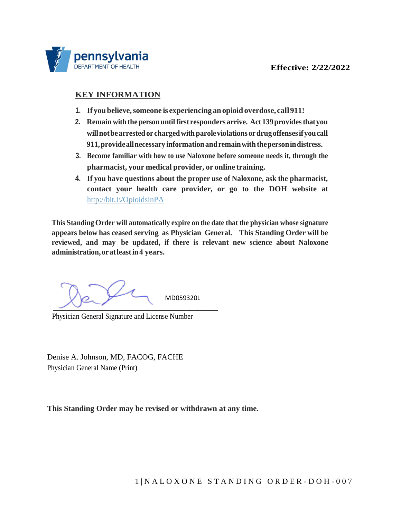

## **KEY INFORMATION**

- **1. If youbelieve,someone is experiencing anopioid overdose, call911!**
- **2. Remain with the person untilfirst responders arrive. Act 139providesthatyou willnotbearrestedor chargedwith paroleviolationsordrugoffensesifyoucall 911,provideallnecessary informationandremainwith thepersonindistress.**
- **3. Become familiar with how to use Naloxone before someone needs it, through the pharmacist, your medical provider, or online training.**
- **4. If you have questions about the proper use of Naloxone, ask the pharmacist, contact your health care provider, or go to the DOH website at** [http://bit.I\/OpioidsinPA](http://bit.ly/OpioidsinPA)

**This Standing Order will automatically expire on the date that the physician whose signature appears below has ceased serving as Physician General. This Standing Order will be reviewed, and may be updated, if there is relevant new science about Naloxone administration,oratleastin4 years.**

MD059320L  **\_\_\_\_\_\_\_\_\_\_\_\_\_\_\_\_\_\_\_\_\_\_\_\_\_\_\_\_\_\_\_\_\_\_\_\_\_\_\_\_\_\_**

Physician General Signature and License Number

Denise A. Johnson, MD, FACOG, FACHE Physician General Name (Print)

**This Standing Order may be revised or withdrawn at any time.**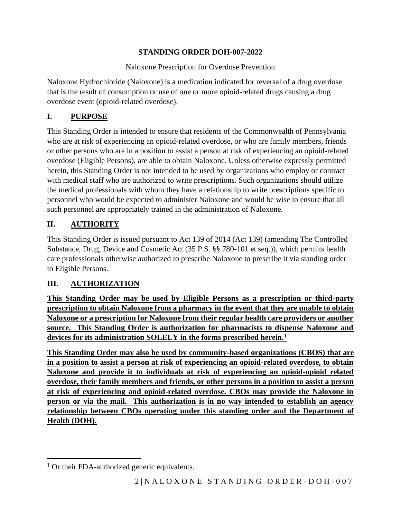# **STANDING ORDER DOH-007-2022**

# Naloxone Prescription for Overdose Prevention

Naloxone Hydrochloride (Naloxone) is a medication indicated for reversal of a drug overdose that is the result of consumption or use of one or more opioid-related drugs causing a drug overdose event (opioid-related overdose).

# **I. PURPOSE**

This Standing Order is intended to ensure that residents of the Commonwealth of Pennsylvania who are at risk of experiencing an opioid-related overdose, or who are family members, friends or other persons who are in a position to assist a person at risk of experiencing an opioid-related overdose (Eligible Persons), are able to obtain Naloxone. Unless otherwise expressly permitted herein, this Standing Order is not intended to be used by organizations who employ or contract with medical staff who are authorized to write prescriptions. Such organizations should utilize the medical professionals with whom they have a relationship to write prescriptions specific to personnel who would be expected to administer Naloxone and would be wise to ensure that all such personnel are appropriately trained in the administration of Naloxone.

# **II. AUTHORITY**

This Standing Order is issued pursuant to Act 139 of 2014 (Act 139) (amending The Controlled Substance, Drug, Device and Cosmetic Act (35 P.S. §§ 780-101 et seq.)), which permits health care professionals otherwise authorized to prescribe Naloxone to prescribe it via standing order to Eligible Persons.

# **III. AUTHORIZATION**

**This Standing Order may be used by Eligible Persons as a prescription or third-party prescription to obtain Naloxone from a pharmacy in the event that they are unable to obtain Naloxone or a prescription for Naloxone from their regular health care providers or another source. This Standing Order is authorization for pharmacists to dispense Naloxone and devices for its administration SOLELY in the forms prescribed herein.<sup>1</sup>**

**This Standing Order may also be used by community-based organizations (CBOS) that are in a position to assist a person at risk of experiencing an opioid-related overdose, to obtain Naloxone and provide it to individuals at risk of experiencing an opioid-opioid related overdose, their family members and friends, or other persons in a position to assist a person at risk of experiencing and opioid-related overdose. CBOs may provide the Naloxone in person or via the mail. This authorization is in no way intended to establish an agency relationship between CBOs operating under this standing order and the Department of Health (DOH).** 

<sup>&</sup>lt;sup>1</sup> Or their FDA-authorized generic equivalents.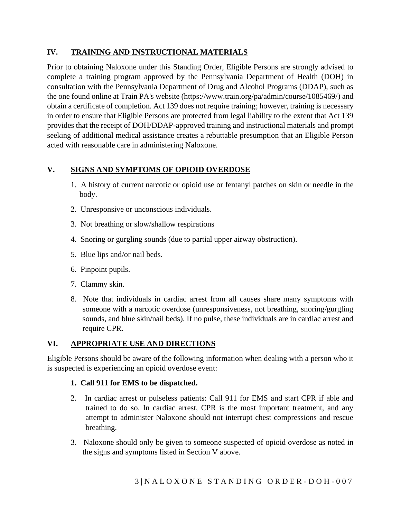# **IV. TRAINING AND INSTRUCTIONAL MATERIALS**

Prior to obtaining Naloxone under this Standing Order, Eligible Persons are strongly advised to complete a training program approved by the Pennsylvania Department of Health (DOH) in consultation with the Pennsylvania Department of Drug and Alcohol Programs (DDAP), such as the one found online at Train PA's website (https://www.train.org/pa/admin/course/1085469/) and obtain a certificate of completion. Act 139 does not require training; however, training is necessary in order to ensure that Eligible Persons are protected from legal liability to the extent that Act 139 provides that the receipt of DOH/DDAP-approved training and instructional materials and prompt seeking of additional medical assistance creates a rebuttable presumption that an Eligible Person acted with reasonable care in administering Naloxone.

# **V. SIGNS AND SYMPTOMS OF OPIOID OVERDOSE**

- 1. A history of current narcotic or opioid use or fentanyl patches on skin or needle in the body.
- 2. Unresponsive or unconscious individuals.
- 3. Not breathing or slow/shallow respirations
- 4. Snoring or gurgling sounds (due to partial upper airway obstruction).
- 5. Blue lips and/or nail beds.
- 6. Pinpoint pupils.
- 7. Clammy skin.
- 8. Note that individuals in cardiac arrest from all causes share many symptoms with someone with a narcotic overdose (unresponsiveness, not breathing, snoring/gurgling sounds, and blue skin/nail beds). If no pulse, these individuals are in cardiac arrest and require CPR.

# **VI. APPROPRIATE USE AND DIRECTIONS**

Eligible Persons should be aware of the following information when dealing with a person who it is suspected is experiencing an opioid overdose event:

# **1. Call 911 for EMS to be dispatched.**

- 2. In cardiac arrest or pulseless patients: Call 911 for EMS and start CPR if able and trained to do so. In cardiac arrest, CPR is the most important treatment, and any attempt to administer Naloxone should not interrupt chest compressions and rescue breathing.
- 3. Naloxone should only be given to someone suspected of opioid overdose as noted in the signs and symptoms listed in Section V above.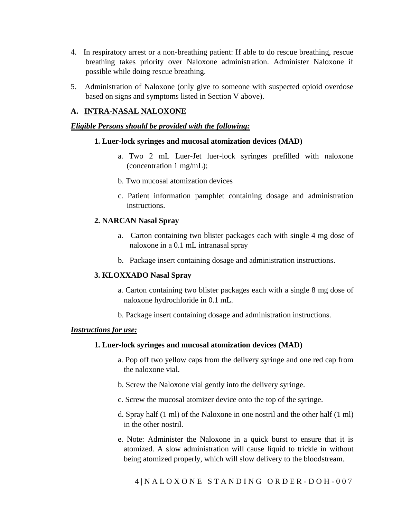- 4. In respiratory arrest or a non-breathing patient: If able to do rescue breathing, rescue breathing takes priority over Naloxone administration. Administer Naloxone if possible while doing rescue breathing.
- 5. Administration of Naloxone (only give to someone with suspected opioid overdose based on signs and symptoms listed in Section V above).

## **A. INTRA-NASAL NALOXONE**

#### *Eligible Persons should be provided with the following:*

#### **1. Luer-lock syringes and mucosal atomization devices (MAD)**

- a. Two 2 mL Luer-Jet luer-lock syringes prefilled with naloxone (concentration 1 mg/mL);
- b. Two mucosal atomization devices
- c. Patient information pamphlet containing dosage and administration instructions.

#### **2. NARCAN Nasal Spray**

- a. Carton containing two blister packages each with single 4 mg dose of naloxone in a 0.1 mL intranasal spray
- b. Package insert containing dosage and administration instructions.

#### **3. KLOXXADO Nasal Spray**

- a. Carton containing two blister packages each with a single 8 mg dose of naloxone hydrochloride in 0.1 mL.
- b. Package insert containing dosage and administration instructions.

#### *Instructions for use:*

#### **1. Luer-lock syringes and mucosal atomization devices (MAD)**

- a. Pop off two yellow caps from the delivery syringe and one red cap from the naloxone vial.
- b. Screw the Naloxone vial gently into the delivery syringe.
- c. Screw the mucosal atomizer device onto the top of the syringe.
- d. Spray half (1 ml) of the Naloxone in one nostril and the other half (1 ml) in the other nostril.
- e. Note: Administer the Naloxone in a quick burst to ensure that it is atomized. A slow administration will cause liquid to trickle in without being atomized properly, which will slow delivery to the bloodstream.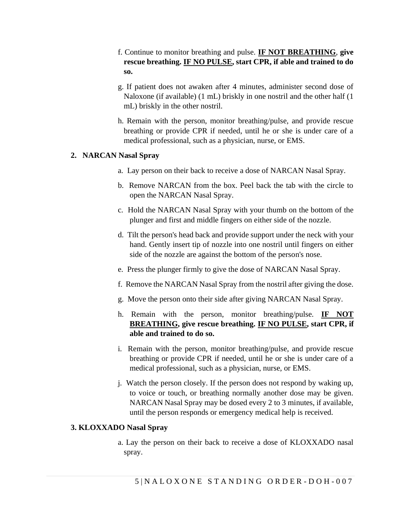- f. Continue to monitor breathing and pulse. **IF NOT BREATHING**, **give rescue breathing. IF NO PULSE, start CPR, if able and trained to do so.**
- g. If patient does not awaken after 4 minutes, administer second dose of Naloxone (if available) (1 mL) briskly in one nostril and the other half (1 mL) briskly in the other nostril.
- h. Remain with the person, monitor breathing/pulse, and provide rescue breathing or provide CPR if needed, until he or she is under care of a medical professional, such as a physician, nurse, or EMS.

### **2. NARCAN Nasal Spray**

- a. Lay person on their back to receive a dose of NARCAN Nasal Spray.
- b. Remove NARCAN from the box. Peel back the tab with the circle to open the NARCAN Nasal Spray.
- c. Hold the NARCAN Nasal Spray with your thumb on the bottom of the plunger and first and middle fingers on either side of the nozzle.
- d. Tilt the person's head back and provide support under the neck with your hand. Gently insert tip of nozzle into one nostril until fingers on either side of the nozzle are against the bottom of the person's nose.
- e. Press the plunger firmly to give the dose of NARCAN Nasal Spray.
- f. Remove the NARCAN Nasal Spray from the nostril after giving the dose.
- g. Move the person onto their side after giving NARCAN Nasal Spray.
- h. Remain with the person, monitor breathing/pulse. **IF NOT BREATHING, give rescue breathing. IF NO PULSE, start CPR, if able and trained to do so.**
- i. Remain with the person, monitor breathing/pulse, and provide rescue breathing or provide CPR if needed, until he or she is under care of a medical professional, such as a physician, nurse, or EMS.
- j. Watch the person closely. If the person does not respond by waking up, to voice or touch, or breathing normally another dose may be given. NARCAN Nasal Spray may be dosed every 2 to 3 minutes, if available, until the person responds or emergency medical help is received.

#### **3. KLOXXADO Nasal Spray**

a. Lay the person on their back to receive a dose of KLOXXADO nasal spray.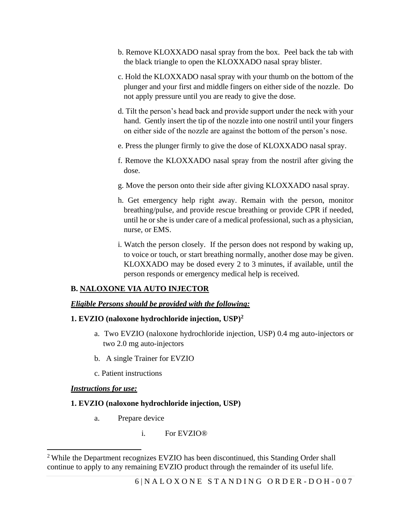- b. Remove KLOXXADO nasal spray from the box. Peel back the tab with the black triangle to open the KLOXXADO nasal spray blister.
- c. Hold the KLOXXADO nasal spray with your thumb on the bottom of the plunger and your first and middle fingers on either side of the nozzle. Do not apply pressure until you are ready to give the dose.
- d. Tilt the person's head back and provide support under the neck with your hand. Gently insert the tip of the nozzle into one nostril until your fingers on either side of the nozzle are against the bottom of the person's nose.
- e. Press the plunger firmly to give the dose of KLOXXADO nasal spray.
- f. Remove the KLOXXADO nasal spray from the nostril after giving the dose.
- g. Move the person onto their side after giving KLOXXADO nasal spray.
- h. Get emergency help right away. Remain with the person, monitor breathing/pulse, and provide rescue breathing or provide CPR if needed, until he or she is under care of a medical professional, such as a physician, nurse, or EMS.
- i. Watch the person closely. If the person does not respond by waking up, to voice or touch, or start breathing normally, another dose may be given. KLOXXADO may be dosed every 2 to 3 minutes, if available, until the person responds or emergency medical help is received.

## **B. NALOXONE VIA AUTO INJECTOR**

## *Eligible Persons should be provided with the following:*

## **1. EVZIO (naloxone hydrochloride injection, USP)<sup>2</sup>**

- a. Two EVZIO (naloxone hydrochloride injection, USP) 0.4 mg auto-injectors or two 2.0 mg auto-injectors
- b. A single Trainer for EVZIO
- c. Patient instructions

## *Instructions for use:*

## **1. EVZIO (naloxone hydrochloride injection, USP)**

- a. Prepare device
	- i. For EVZIO®

<sup>2</sup> While the Department recognizes EVZIO has been discontinued, this Standing Order shall continue to apply to any remaining EVZIO product through the remainder of its useful life.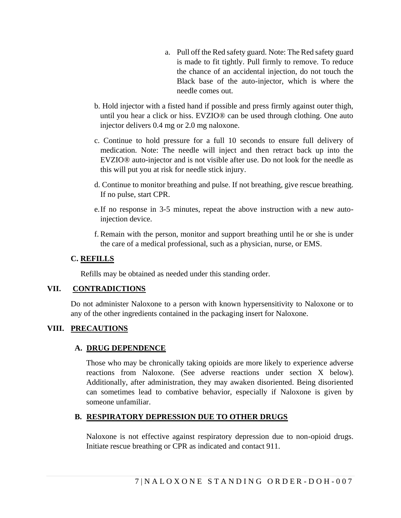- a. Pull off the Red safety guard. Note: The Red safety guard is made to fit tightly. Pull firmly to remove. To reduce the chance of an accidental injection, do not touch the Black base of the auto-injector, which is where the needle comes out.
- b. Hold injector with a fisted hand if possible and press firmly against outer thigh, until you hear a click or hiss. EVZIO® can be used through clothing. One auto injector delivers 0.4 mg or 2.0 mg naloxone.
- c. Continue to hold pressure for a full 10 seconds to ensure full delivery of medication. Note: The needle will inject and then retract back up into the EVZIO® auto-injector and is not visible after use. Do not look for the needle as this will put you at risk for needle stick injury.
- d. Continue to monitor breathing and pulse. If not breathing, give rescue breathing. If no pulse, start CPR.
- e.If no response in 3-5 minutes, repeat the above instruction with a new autoinjection device.
- f. Remain with the person, monitor and support breathing until he or she is under the care of a medical professional, such as a physician, nurse, or EMS.

## **C. REFILLS**

Refills may be obtained as needed under this standing order.

## **VII. CONTRADICTIONS**

Do not administer Naloxone to a person with known hypersensitivity to Naloxone or to any of the other ingredients contained in the packaging insert for Naloxone.

# **VIII. PRECAUTIONS**

# **A. DRUG DEPENDENCE**

Those who may be chronically taking opioids are more likely to experience adverse reactions from Naloxone. (See adverse reactions under section X below). Additionally, after administration, they may awaken disoriented. Being disoriented can sometimes lead to combative behavior, especially if Naloxone is given by someone unfamiliar.

# **B. RESPIRATORY DEPRESSION DUE TO OTHER DRUGS**

Naloxone is not effective against respiratory depression due to non-opioid drugs. Initiate rescue breathing or CPR as indicated and contact 911.